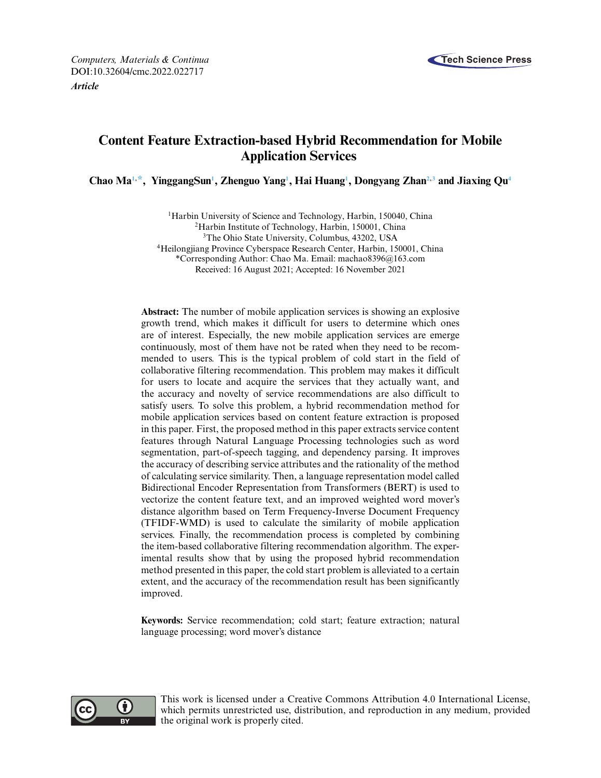

# **Content Feature Extraction-based Hybrid Recommendation for Mobile Application Services**

**Chao M[a1,](#page-0-0) [\\*,](#page-0-1) YinggangSu[n1](#page-0-0) , Zhenguo Yan[g1](#page-0-0) , Hai Huan[g1](#page-0-0) , Dongyang Zha[n2,3](#page-0-2) and Jiaxing Q[u4](#page-0-3)**

<span id="page-0-3"></span><span id="page-0-2"></span><span id="page-0-1"></span><span id="page-0-0"></span><sup>1</sup>Harbin University of Science and Technology, Harbin, 150040, China 2Harbin Institute of Technology, Harbin, 150001, China 3The Ohio State University, Columbus, 43202, USA 4Heilongjiang Province Cyberspace Research Center, Harbin, 150001, China \*Corresponding Author: Chao Ma. Email: [machao8396@163.com](mailto:machao8396@163.com) Received: 16 August 2021; Accepted: 16 November 2021

**Abstract:** The number of mobile application services is showing an explosive growth trend, which makes it difficult for users to determine which ones are of interest. Especially, the new mobile application services are emerge continuously, most of them have not be rated when they need to be recommended to users. This is the typical problem of cold start in the field of collaborative filtering recommendation. This problem may makes it difficult for users to locate and acquire the services that they actually want, and the accuracy and novelty of service recommendations are also difficult to satisfy users. To solve this problem, a hybrid recommendation method for mobile application services based on content feature extraction is proposed in this paper. First, the proposed method in this paper extracts service content features through Natural Language Processing technologies such as word segmentation, part-of-speech tagging, and dependency parsing. It improves the accuracy of describing service attributes and the rationality of the method of calculating service similarity. Then, a language representation model called Bidirectional Encoder Representation from Transformers (BERT) is used to vectorize the content feature text, and an improved weighted word mover's distance algorithm based on Term Frequency-Inverse Document Frequency (TFIDF-WMD) is used to calculate the similarity of mobile application services. Finally, the recommendation process is completed by combining the item-based collaborative filtering recommendation algorithm. The experimental results show that by using the proposed hybrid recommendation method presented in this paper, the cold start problem is alleviated to a certain extent, and the accuracy of the recommendation result has been significantly improved.

**Keywords:** Service recommendation; cold start; feature extraction; natural language processing; word mover's distance



This work is licensed under a Creative Commons Attribution 4.0 International License, which permits unrestricted use, distribution, and reproduction in any medium, provided the original work is properly cited.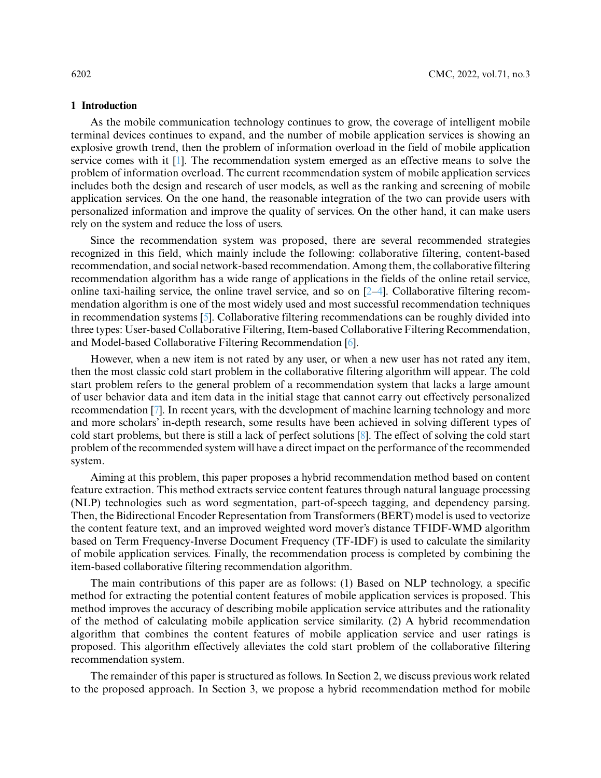#### **1 Introduction**

As the mobile communication technology continues to grow, the coverage of intelligent mobile terminal devices continues to expand, and the number of mobile application services is showing an explosive growth trend, then the problem of information overload in the field of mobile application service comes with it [\[1\]](#page-15-0). The recommendation system emerged as an effective means to solve the problem of information overload. The current recommendation system of mobile application services includes both the design and research of user models, as well as the ranking and screening of mobile application services. On the one hand, the reasonable integration of the two can provide users with personalized information and improve the quality of services. On the other hand, it can make users rely on the system and reduce the loss of users.

Since the recommendation system was proposed, there are several recommended strategies recognized in this field, which mainly include the following: collaborative filtering, content-based recommendation, and social network-based recommendation. Among them, the collaborative filtering recommendation algorithm has a wide range of applications in the fields of the online retail service, online taxi-hailing service, the online travel service, and so on [\[2–](#page-15-1)[4\]](#page-15-2). Collaborative filtering recommendation algorithm is one of the most widely used and most successful recommendation techniques in recommendation systems [\[5\]](#page-15-3). Collaborative filtering recommendations can be roughly divided into three types: User-based Collaborative Filtering, Item-based Collaborative Filtering Recommendation, and Model-based Collaborative Filtering Recommendation [\[6\]](#page-15-4).

However, when a new item is not rated by any user, or when a new user has not rated any item, then the most classic cold start problem in the collaborative filtering algorithm will appear. The cold start problem refers to the general problem of a recommendation system that lacks a large amount of user behavior data and item data in the initial stage that cannot carry out effectively personalized recommendation [\[7\]](#page-15-5). In recent years, with the development of machine learning technology and more and more scholars' in-depth research, some results have been achieved in solving different types of cold start problems, but there is still a lack of perfect solutions [\[8\]](#page-15-6). The effect of solving the cold start problem of the recommended system will have a direct impact on the performance of the recommended system.

Aiming at this problem, this paper proposes a hybrid recommendation method based on content feature extraction. This method extracts service content features through natural language processing (NLP) technologies such as word segmentation, part-of-speech tagging, and dependency parsing. Then, the Bidirectional Encoder Representation from Transformers (BERT) model is used to vectorize the content feature text, and an improved weighted word mover's distance TFIDF-WMD algorithm based on Term Frequency-Inverse Document Frequency (TF-IDF) is used to calculate the similarity of mobile application services. Finally, the recommendation process is completed by combining the item-based collaborative filtering recommendation algorithm.

The main contributions of this paper are as follows: (1) Based on NLP technology, a specific method for extracting the potential content features of mobile application services is proposed. This method improves the accuracy of describing mobile application service attributes and the rationality of the method of calculating mobile application service similarity. (2) A hybrid recommendation algorithm that combines the content features of mobile application service and user ratings is proposed. This algorithm effectively alleviates the cold start problem of the collaborative filtering recommendation system.

The remainder of this paper is structured as follows. In Section 2, we discuss previous work related to the proposed approach. In Section 3, we propose a hybrid recommendation method for mobile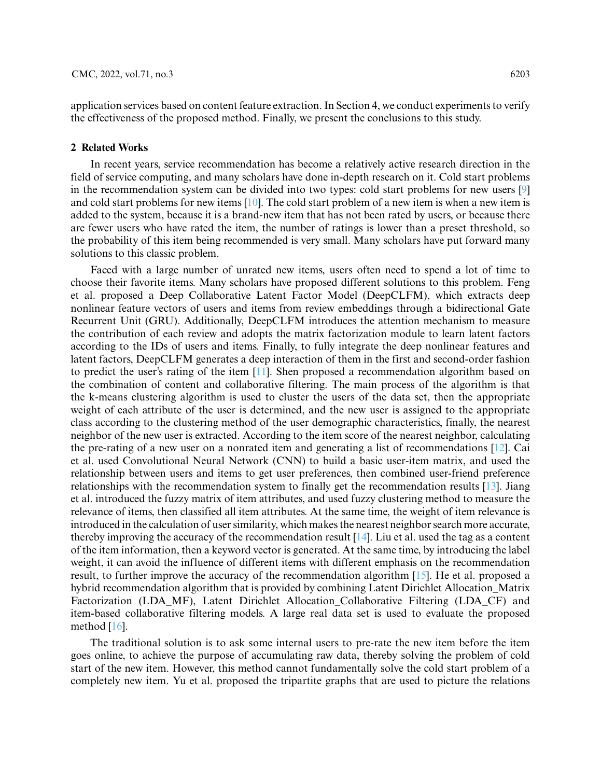application services based on content feature extraction. In Section 4, we conduct experiments to verify the effectiveness of the proposed method. Finally, we present the conclusions to this study.

#### **2 Related Works**

In recent years, service recommendation has become a relatively active research direction in the field of service computing, and many scholars have done in-depth research on it. Cold start problems in the recommendation system can be divided into two types: cold start problems for new users [\[9\]](#page-16-0) and cold start problems for new items [\[10\]](#page-16-1). The cold start problem of a new item is when a new item is added to the system, because it is a brand-new item that has not been rated by users, or because there are fewer users who have rated the item, the number of ratings is lower than a preset threshold, so the probability of this item being recommended is very small. Many scholars have put forward many solutions to this classic problem.

Faced with a large number of unrated new items, users often need to spend a lot of time to choose their favorite items. Many scholars have proposed different solutions to this problem. Feng et al. proposed a Deep Collaborative Latent Factor Model (DeepCLFM), which extracts deep nonlinear feature vectors of users and items from review embeddings through a bidirectional Gate Recurrent Unit (GRU). Additionally, DeepCLFM introduces the attention mechanism to measure the contribution of each review and adopts the matrix factorization module to learn latent factors according to the IDs of users and items. Finally, to fully integrate the deep nonlinear features and latent factors, DeepCLFM generates a deep interaction of them in the first and second-order fashion to predict the user's rating of the item [\[11\]](#page-16-2). Shen proposed a recommendation algorithm based on the combination of content and collaborative filtering. The main process of the algorithm is that the k-means clustering algorithm is used to cluster the users of the data set, then the appropriate weight of each attribute of the user is determined, and the new user is assigned to the appropriate class according to the clustering method of the user demographic characteristics, finally, the nearest neighbor of the new user is extracted. According to the item score of the nearest neighbor, calculating the pre-rating of a new user on a nonrated item and generating a list of recommendations [\[12\]](#page-16-3). Cai et al. used Convolutional Neural Network (CNN) to build a basic user-item matrix, and used the relationship between users and items to get user preferences, then combined user-friend preference relationships with the recommendation system to finally get the recommendation results [\[13\]](#page-16-4). Jiang et al. introduced the fuzzy matrix of item attributes, and used fuzzy clustering method to measure the relevance of items, then classified all item attributes. At the same time, the weight of item relevance is introduced in the calculation of user similarity, which makes the nearest neighbor search more accurate, thereby improving the accuracy of the recommendation result  $[14]$ . Liu et al. used the tag as a content of the item information, then a keyword vector is generated. At the same time, by introducing the label weight, it can avoid the influence of different items with different emphasis on the recommendation result, to further improve the accuracy of the recommendation algorithm [\[15\]](#page-16-6). He et al. proposed a hybrid recommendation algorithm that is provided by combining Latent Dirichlet Allocation\_Matrix Factorization (LDA\_MF), Latent Dirichlet Allocation\_Collaborative Filtering (LDA\_CF) and item-based collaborative filtering models. A large real data set is used to evaluate the proposed method  $[16]$ .

The traditional solution is to ask some internal users to pre-rate the new item before the item goes online, to achieve the purpose of accumulating raw data, thereby solving the problem of cold start of the new item. However, this method cannot fundamentally solve the cold start problem of a completely new item. Yu et al. proposed the tripartite graphs that are used to picture the relations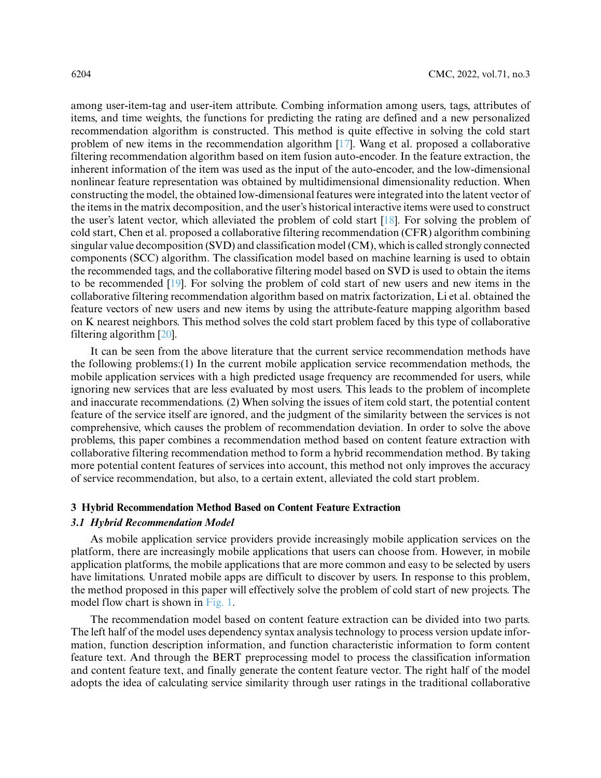among user-item-tag and user-item attribute. Combing information among users, tags, attributes of items, and time weights, the functions for predicting the rating are defined and a new personalized recommendation algorithm is constructed. This method is quite effective in solving the cold start problem of new items in the recommendation algorithm [\[17\]](#page-16-8). Wang et al. proposed a collaborative filtering recommendation algorithm based on item fusion auto-encoder. In the feature extraction, the inherent information of the item was used as the input of the auto-encoder, and the low-dimensional nonlinear feature representation was obtained by multidimensional dimensionality reduction. When constructing the model, the obtained low-dimensional features were integrated into the latent vector of the items in the matrix decomposition, and the user's historical interactive items were used to construct the user's latent vector, which alleviated the problem of cold start [\[18\]](#page-16-9). For solving the problem of cold start, Chen et al. proposed a collaborative filtering recommendation (CFR) algorithm combining singular value decomposition (SVD) and classification model (CM), which is called strongly connected components (SCC) algorithm. The classification model based on machine learning is used to obtain the recommended tags, and the collaborative filtering model based on SVD is used to obtain the items to be recommended [\[19\]](#page-16-10). For solving the problem of cold start of new users and new items in the collaborative filtering recommendation algorithm based on matrix factorization, Li et al. obtained the feature vectors of new users and new items by using the attribute-feature mapping algorithm based on K nearest neighbors. This method solves the cold start problem faced by this type of collaborative filtering algorithm [\[20\]](#page-16-11).

It can be seen from the above literature that the current service recommendation methods have the following problems:(1) In the current mobile application service recommendation methods, the mobile application services with a high predicted usage frequency are recommended for users, while ignoring new services that are less evaluated by most users. This leads to the problem of incomplete and inaccurate recommendations. (2) When solving the issues of item cold start, the potential content feature of the service itself are ignored, and the judgment of the similarity between the services is not comprehensive, which causes the problem of recommendation deviation. In order to solve the above problems, this paper combines a recommendation method based on content feature extraction with collaborative filtering recommendation method to form a hybrid recommendation method. By taking more potential content features of services into account, this method not only improves the accuracy of service recommendation, but also, to a certain extent, alleviated the cold start problem.

#### **3 Hybrid Recommendation Method Based on Content Feature Extraction**

# *3.1 Hybrid Recommendation Model*

As mobile application service providers provide increasingly mobile application services on the platform, there are increasingly mobile applications that users can choose from. However, in mobile application platforms, the mobile applications that are more common and easy to be selected by users have limitations. Unrated mobile apps are difficult to discover by users. In response to this problem, the method proposed in this paper will effectively solve the problem of cold start of new projects. The model flow chart is shown in [Fig. 1.](#page-4-0)

The recommendation model based on content feature extraction can be divided into two parts. The left half of the model uses dependency syntax analysis technology to process version update information, function description information, and function characteristic information to form content feature text. And through the BERT preprocessing model to process the classification information and content feature text, and finally generate the content feature vector. The right half of the model adopts the idea of calculating service similarity through user ratings in the traditional collaborative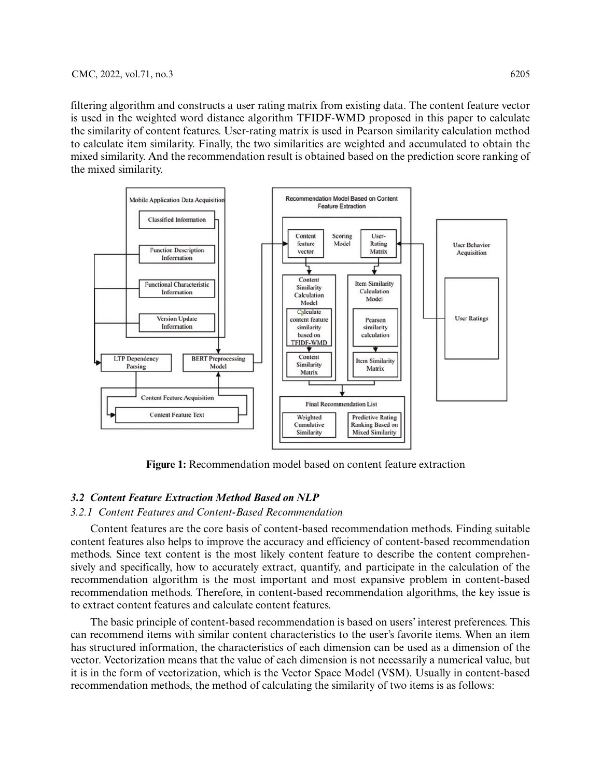filtering algorithm and constructs a user rating matrix from existing data. The content feature vector is used in the weighted word distance algorithm TFIDF-WMD proposed in this paper to calculate the similarity of content features. User-rating matrix is used in Pearson similarity calculation method to calculate item similarity. Finally, the two similarities are weighted and accumulated to obtain the mixed similarity. And the recommendation result is obtained based on the prediction score ranking of the mixed similarity.



**Figure 1:** Recommendation model based on content feature extraction

# <span id="page-4-0"></span>*3.2 Content Feature Extraction Method Based on NLP*

## *3.2.1 Content Features and Content-Based Recommendation*

Content features are the core basis of content-based recommendation methods. Finding suitable content features also helps to improve the accuracy and efficiency of content-based recommendation methods. Since text content is the most likely content feature to describe the content comprehensively and specifically, how to accurately extract, quantify, and participate in the calculation of the recommendation algorithm is the most important and most expansive problem in content-based recommendation methods. Therefore, in content-based recommendation algorithms, the key issue is to extract content features and calculate content features.

The basic principle of content-based recommendation is based on users' interest preferences. This can recommend items with similar content characteristics to the user's favorite items. When an item has structured information, the characteristics of each dimension can be used as a dimension of the vector. Vectorization means that the value of each dimension is not necessarily a numerical value, but it is in the form of vectorization, which is the Vector Space Model (VSM). Usually in content-based recommendation methods, the method of calculating the similarity of two items is as follows: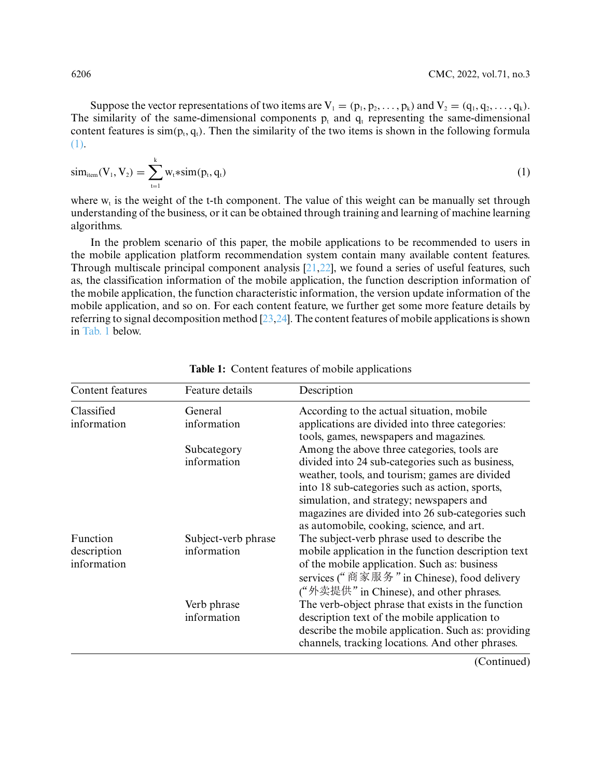Suppose the vector representations of two items are  $V_1 = (p_1, p_2, \ldots, p_k)$  and  $V_2 = (q_1, q_2, \ldots, q_k)$ . The similarity of the same-dimensional components  $p_t$  and  $q_t$  representing the same-dimensional content features is  $\text{sim}(p_t, q_t)$ . Then the similarity of the two items is shown in the following formula [\(1\).](#page-5-0)

<span id="page-5-0"></span>
$$
sim_{item}(V_1, V_2) = \sum_{t=1}^{k} w_t * sim(p_t, q_t)
$$
\n(1)

where  $w_t$  is the weight of the t-th component. The value of this weight can be manually set through understanding of the business, or it can be obtained through training and learning of machine learning algorithms.

In the problem scenario of this paper, the mobile applications to be recommended to users in the mobile application platform recommendation system contain many available content features. Through multiscale principal component analysis [\[21,](#page-16-12)[22\]](#page-16-13), we found a series of useful features, such as, the classification information of the mobile application, the function description information of the mobile application, the function characteristic information, the version update information of the mobile application, and so on. For each content feature, we further get some more feature details by referring to signal decomposition method [\[23](#page-16-14)[,24\]](#page-16-15). The content features of mobile applications is shown in [Tab. 1](#page-5-1) below.

| Feature details        | Description                                                                                                                                                                                                                                                                                        |
|------------------------|----------------------------------------------------------------------------------------------------------------------------------------------------------------------------------------------------------------------------------------------------------------------------------------------------|
| General<br>information | According to the actual situation, mobile<br>applications are divided into three categories:<br>tools, games, newspapers and magazines.                                                                                                                                                            |
| Subcategory            | Among the above three categories, tools are                                                                                                                                                                                                                                                        |
| information            | divided into 24 sub-categories such as business,<br>weather, tools, and tourism; games are divided<br>into 18 sub-categories such as action, sports,<br>simulation, and strategy; newspapers and<br>magazines are divided into 26 sub-categories such<br>as automobile, cooking, science, and art. |
| Subject-verb phrase    | The subject-verb phrase used to describe the                                                                                                                                                                                                                                                       |
| information            | mobile application in the function description text<br>of the mobile application. Such as: business<br>services (" 商家服务 " in Chinese), food delivery<br>("外卖提供" in Chinese), and other phrases.                                                                                                    |
| Verb phrase            | The verb-object phrase that exists in the function                                                                                                                                                                                                                                                 |
| information            | description text of the mobile application to<br>describe the mobile application. Such as: providing<br>channels, tracking locations. And other phrases.                                                                                                                                           |
|                        |                                                                                                                                                                                                                                                                                                    |

<span id="page-5-1"></span>**Table 1:** Content features of mobile applications

(Continued)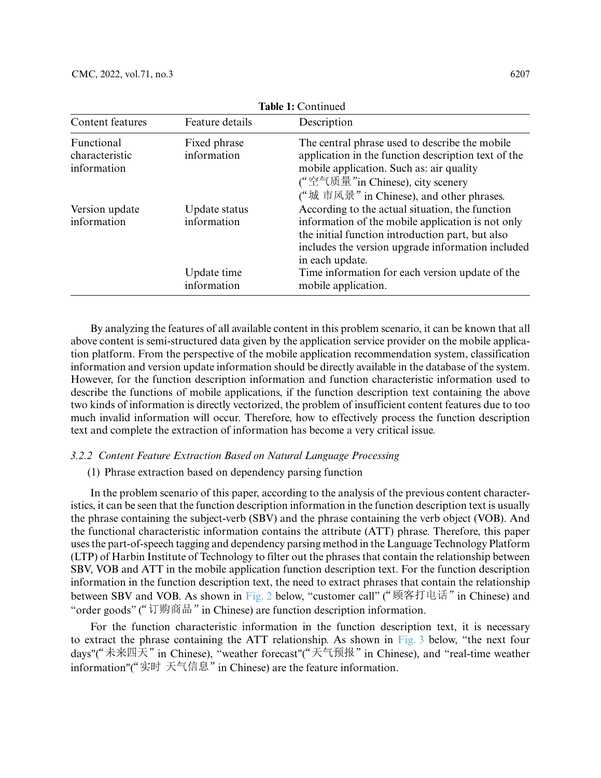| Content features                            | Feature details              | Description                                                                                                                                                                                                                      |
|---------------------------------------------|------------------------------|----------------------------------------------------------------------------------------------------------------------------------------------------------------------------------------------------------------------------------|
| Functional<br>characteristic<br>information | Fixed phrase<br>information  | The central phrase used to describe the mobile<br>application in the function description text of the<br>mobile application. Such as: air quality<br>("空气质量"in Chinese), city scenery<br>("城市风景" in Chinese), and other phrases. |
| Version update<br>information               | Update status<br>information | According to the actual situation, the function<br>information of the mobile application is not only<br>the initial function introduction part, but also<br>includes the version upgrade information included<br>in each update. |
|                                             | Update time<br>information   | Time information for each version update of the<br>mobile application.                                                                                                                                                           |

**Table 1:** Continued

By analyzing the features of all available content in this problem scenario, it can be known that all above content is semi-structured data given by the application service provider on the mobile application platform. From the perspective of the mobile application recommendation system, classification information and version update information should be directly available in the database of the system. However, for the function description information and function characteristic information used to describe the functions of mobile applications, if the function description text containing the above two kinds of information is directly vectorized, the problem of insufficient content features due to too much invalid information will occur. Therefore, how to effectively process the function description text and complete the extraction of information has become a very critical issue.

## *3.2.2 Content Feature Extraction Based on Natural Language Processing*

# (1) Phrase extraction based on dependency parsing function

In the problem scenario of this paper, according to the analysis of the previous content characteristics, it can be seen that the function description information in the function description text is usually the phrase containing the subject-verb (SBV) and the phrase containing the verb object (VOB). And the functional characteristic information contains the attribute (ATT) phrase. Therefore, this paper uses the part-of-speech tagging and dependency parsing method in the Language Technology Platform (LTP) of Harbin Institute of Technology to filter out the phrases that contain the relationship between SBV, VOB and ATT in the mobile application function description text. For the function description information in the function description text, the need to extract phrases that contain the relationship between SBV and VOB. As shown in [Fig. 2](#page-7-0) below, "customer call" ("顾客打电话" in Chinese) and "order goods" (" $\overline{U}$ )  $\overline{M}$ )  $\overline{B}$   $\overline{H}$ " in Chinese) are function description information.

For the function characteristic information in the function description text, it is necessary to extract the phrase containing the ATT relationship. As shown in [Fig. 3](#page-7-1) below, "the next four days"("未来四天" in Chinese), "weather forecast"("天气预报" in Chinese), and "real-time weather information"("实时 天气信息" in Chinese) are the feature information.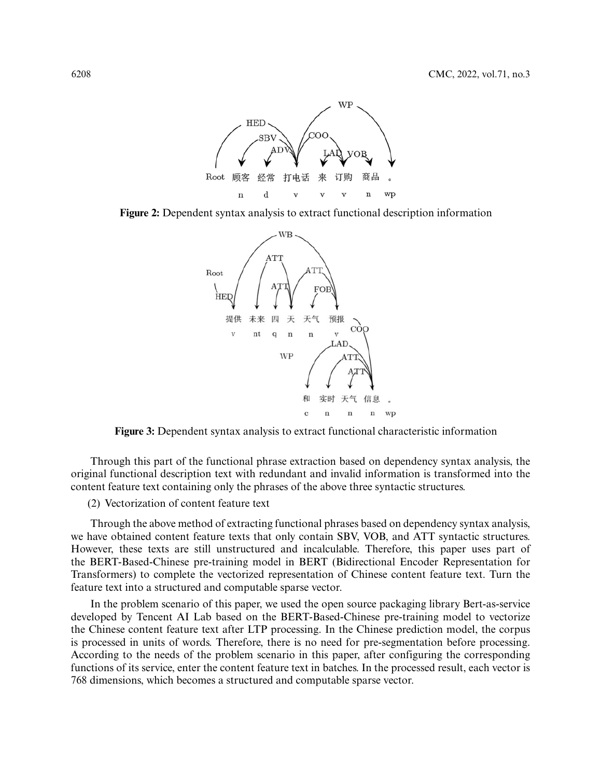

<span id="page-7-0"></span>**Figure 2:** Dependent syntax analysis to extract functional description information



<span id="page-7-1"></span>**Figure 3:** Dependent syntax analysis to extract functional characteristic information

Through this part of the functional phrase extraction based on dependency syntax analysis, the original functional description text with redundant and invalid information is transformed into the content feature text containing only the phrases of the above three syntactic structures.

(2) Vectorization of content feature text

Through the above method of extracting functional phrases based on dependency syntax analysis, we have obtained content feature texts that only contain SBV, VOB, and ATT syntactic structures. However, these texts are still unstructured and incalculable. Therefore, this paper uses part of the BERT-Based-Chinese pre-training model in BERT (Bidirectional Encoder Representation for Transformers) to complete the vectorized representation of Chinese content feature text. Turn the feature text into a structured and computable sparse vector.

In the problem scenario of this paper, we used the open source packaging library Bert-as-service developed by Tencent AI Lab based on the BERT-Based-Chinese pre-training model to vectorize the Chinese content feature text after LTP processing. In the Chinese prediction model, the corpus is processed in units of words. Therefore, there is no need for pre-segmentation before processing. According to the needs of the problem scenario in this paper, after configuring the corresponding functions of its service, enter the content feature text in batches. In the processed result, each vector is 768 dimensions, which becomes a structured and computable sparse vector.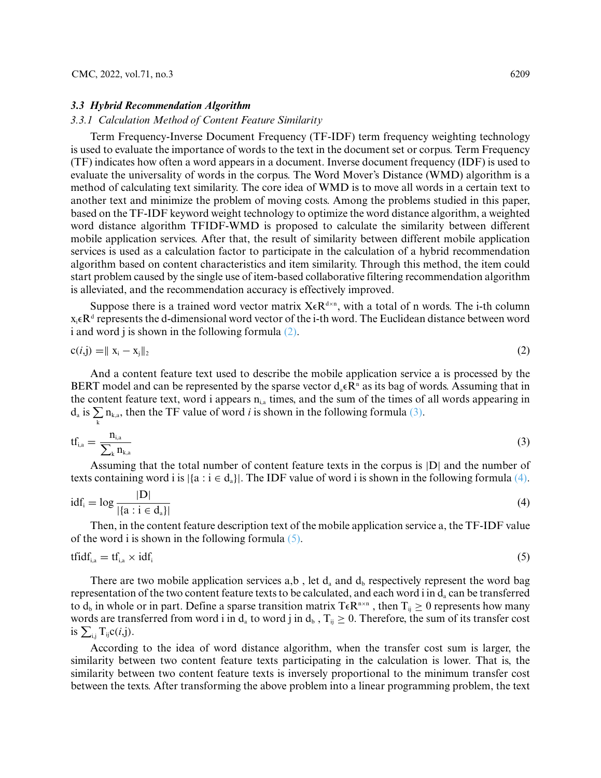#### *3.3 Hybrid Recommendation Algorithm*

## *3.3.1 Calculation Method of Content Feature Similarity*

Term Frequency-Inverse Document Frequency (TF-IDF) term frequency weighting technology is used to evaluate the importance of words to the text in the document set or corpus. Term Frequency (TF) indicates how often a word appears in a document. Inverse document frequency (IDF) is used to evaluate the universality of words in the corpus. The Word Mover's Distance (WMD) algorithm is a method of calculating text similarity. The core idea of WMD is to move all words in a certain text to another text and minimize the problem of moving costs. Among the problems studied in this paper, based on the TF-IDF keyword weight technology to optimize the word distance algorithm, a weighted word distance algorithm TFIDF-WMD is proposed to calculate the similarity between different mobile application services. After that, the result of similarity between different mobile application services is used as a calculation factor to participate in the calculation of a hybrid recommendation algorithm based on content characteristics and item similarity. Through this method, the item could start problem caused by the single use of item-based collaborative filtering recommendation algorithm is alleviated, and the recommendation accuracy is effectively improved.

Suppose there is a trained word vector matrix  $X \in \mathbb{R}^{d \times n}$ , with a total of n words. The i-th column  $x_i \in \mathbf{R}^d$  represents the d-dimensional word vector of the i-th word. The Euclidean distance between word i and word j is shown in the following formula [\(2\).](#page-8-0)

<span id="page-8-0"></span>
$$
c(i,j) = ||x_i - x_j||_2
$$
 (2)

And a content feature text used to describe the mobile application service a is processed by the BERT model and can be represented by the sparse vector  $d_a \in \mathbb{R}^n$  as its bag of words. Assuming that in the content feature text, word i appears  $n_{i,a}$  times, and the sum of the times of all words appearing in  $d_a$  is  $\sum_{k}$   $n_{k,a}$ , then the TF value of word *i* is shown in the following formula [\(3\).](#page-8-1)

<span id="page-8-1"></span>
$$
\text{tf}_{\text{i,a}} = \frac{n_{\text{i,a}}}{\sum_{k} n_{\text{k,a}}} \tag{3}
$$

Assuming that the total number of content feature texts in the corpus is |D| and the number of texts containing word i is  $|\{a : i \in d_a\}|$ . The IDF value of word i is shown in the following formula [\(4\).](#page-8-2)

<span id="page-8-2"></span>
$$
idf_i = \log \frac{|D|}{|\{a : i \in d_a\}|}\tag{4}
$$

Then, in the content feature description text of the mobile application service a, the TF-IDF value of the word i is shown in the following formula  $(5)$ .

<span id="page-8-3"></span>
$$
tfidf_{i,a} = tf_{i,a} \times idf_i \tag{5}
$$

There are two mobile application services  $a,b$ , let  $d_a$  and  $d_b$  respectively represent the word bag representation of the two content feature texts to be calculated, and each word i in  $d_a$  can be transferred to  $d_b$  in whole or in part. Define a sparse transition matrix T $\epsilon R^{n \times n}$ , then  $T_{ij} \ge 0$  represents how many words are transferred from word i in  $d_a$  to word j in  $d_b$ ,  $T_{ij} \ge 0$ . Therefore, the sum of its transfer cost is  $\sum_{i,j} T_{ij}c(i,j)$ .

According to the idea of word distance algorithm, when the transfer cost sum is larger, the similarity between two content feature texts participating in the calculation is lower. That is, the similarity between two content feature texts is inversely proportional to the minimum transfer cost between the texts. After transforming the above problem into a linear programming problem, the text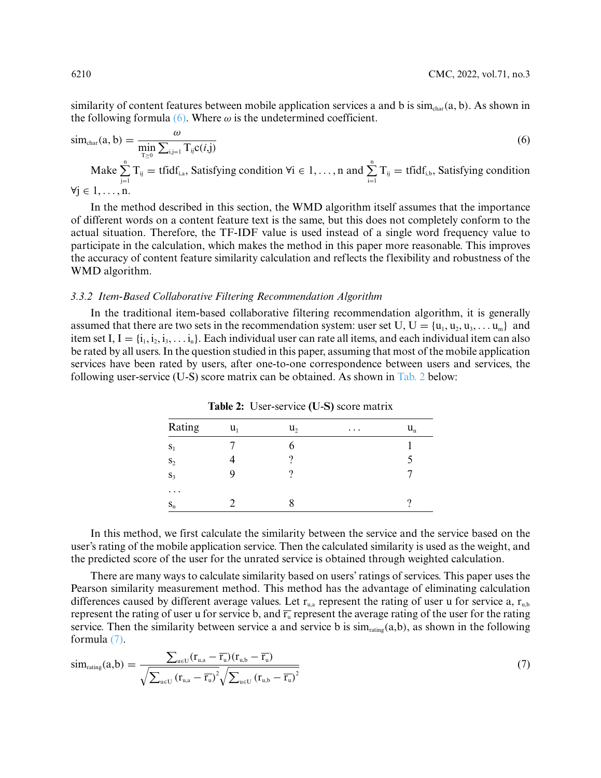similarity of content features between mobile application services a and b is  $\sin_{\text{char}}(a, b)$ . As shown in the following formula [\(6\).](#page-9-0) Where  $\omega$  is the undetermined coefficient.

<span id="page-9-0"></span>
$$
\text{sim}_{\text{char}}(a, b) = \frac{\omega}{\min_{T \ge 0} \sum_{i,j=1}^{i} T_{ij} c(i,j)}
$$
\n
$$
\text{Make} \sum_{j=1}^{n} T_{ij} = \text{tfidf}_{i,a}, \text{Satisfying condition } \forall i \in 1, \dots, n \text{ and } \sum_{i=1}^{n} T_{ij} = \text{tfidf}_{i,b}, \text{Satisfying condition}
$$
\n
$$
\text{max}(a, b) = \frac{\omega}{\min_{T \ge 0} \sum_{i,j=1}^{n} T_{ij} c(i,j)}
$$
\n
$$
\text{max}(a, b) = \frac{\omega}{\min_{T \ge 0} \sum_{i,j=1}^{n} T_{ij} c(i,j)}
$$
\n
$$
\text{max}(a, b) = \frac{\omega}{\min_{T \ge 0} \sum_{i,j=1}^{n} T_{ij} c(i,j)}
$$
\n
$$
\text{max}(a, b) = \frac{\omega}{\min_{T \ge 0} \sum_{i,j=1}^{n} T_{ij} c(i,j)}
$$
\n
$$
\text{max}(a, b) = \frac{\omega}{\min_{T \ge 0} \sum_{i,j=1}^{n} T_{ij} c(i,j)}
$$
\n
$$
\text{max}(a, b) = \frac{\omega}{\min_{T \ge 0} \sum_{i,j=1}^{n} T_{ij} c(i,j)}
$$
\n
$$
\text{max}(a, b) = \frac{\omega}{\min_{T \ge 0} \sum_{i,j=1}^{n} T_{ij} c(i,j)}
$$
\n
$$
\text{max}(a, b) = \frac{\omega}{\min_{T \ge 0} \sum_{i,j=1}^{n} T_{ij} c(i,j)}
$$
\n
$$
\text{max}(a, b) = \frac{\omega}{\min_{T \ge 0} \sum_{i,j=1}^{n} T_{ij} c(i,j)}
$$
\n
$$
\text{max}(a, b) = \frac{\omega}{\min_{T \ge 0} \sum_{i,j=1}^{n} T_{ij} c(i,j)}
$$
\n
$$
\text{max}(a, b) = \frac{\omega}{\min_{T \ge 0} \sum_{i,j=1}^{n} T_{ij} c(i,j)}
$$

 $\forall j \in 1, \ldots, n$ .

In the method described in this section, the WMD algorithm itself assumes that the importance of different words on a content feature text is the same, but this does not completely conform to the actual situation. Therefore, the TF-IDF value is used instead of a single word frequency value to participate in the calculation, which makes the method in this paper more reasonable. This improves the accuracy of content feature similarity calculation and reflects the flexibility and robustness of the WMD algorithm.

#### *3.3.2 Item-Based Collaborative Filtering Recommendation Algorithm*

<span id="page-9-1"></span>In the traditional item-based collaborative filtering recommendation algorithm, it is generally assumed that there are two sets in the recommendation system: user set U,  $U = {u_1, u_2, u_3, \ldots, u_m}$  and item set I,  $I = \{i_1, i_2, i_3, \ldots, i_n\}$ . Each individual user can rate all items, and each individual item can also be rated by all users. In the question studied in this paper, assuming that most of the mobile application services have been rated by users, after one-to-one correspondence between users and services, the following user-service (U-S) score matrix can be obtained. As shown in [Tab. 2](#page-9-1) below:

| Rating   | $u_1$ | $u_2$ | $\cdots$ | $u_{n}$ |
|----------|-------|-------|----------|---------|
| $S_1$    |       |       |          |         |
| $S_2$    |       |       |          |         |
| $S_3$    |       |       |          |         |
| $\cdots$ |       |       |          |         |
| $S_n$    |       |       |          |         |

**Table 2:** User-service **(U**-**S)** score matrix

In this method, we first calculate the similarity between the service and the service based on the user's rating of the mobile application service. Then the calculated similarity is used as the weight, and the predicted score of the user for the unrated service is obtained through weighted calculation.

There are many ways to calculate similarity based on users' ratings of services. This paper uses the Pearson similarity measurement method. This method has the advantage of eliminating calculation differences caused by different average values. Let  $r_{u,a}$  represent the rating of user u for service a,  $r_{u,b}$ represent the rating of user u for service b, and  $\overline{r_u}$  represent the average rating of the user for the rating service. Then the similarity between service a and service b is  $\text{sim}_{\text{rating}}(a,b)$ , as shown in the following formula [\(7\).](#page-9-2)

<span id="page-9-2"></span>
$$
\text{sim}_{\text{rating}}(a,b) = \frac{\sum_{u \in U} (r_{u,a} - \overline{r_u})(r_{u,b} - \overline{r_u})}{\sqrt{\sum_{u \in U} (r_{u,a} - \overline{r_u})^2} \sqrt{\sum_{u \in U} (r_{u,b} - \overline{r_u})^2}}
$$
\n
$$
(7)
$$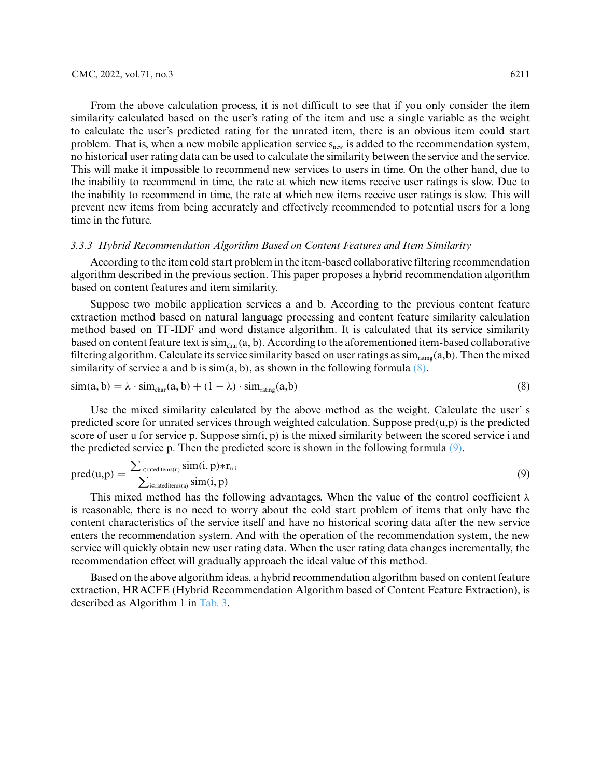From the above calculation process, it is not difficult to see that if you only consider the item similarity calculated based on the user's rating of the item and use a single variable as the weight to calculate the user's predicted rating for the unrated item, there is an obvious item could start problem. That is, when a new mobile application service  $s_{new}$  is added to the recommendation system, no historical user rating data can be used to calculate the similarity between the service and the service. This will make it impossible to recommend new services to users in time. On the other hand, due to the inability to recommend in time, the rate at which new items receive user ratings is slow. Due to the inability to recommend in time, the rate at which new items receive user ratings is slow. This will prevent new items from being accurately and effectively recommended to potential users for a long time in the future.

# *3.3.3 Hybrid Recommendation Algorithm Based on Content Features and Item Similarity*

According to the item cold start problem in the item-based collaborative filtering recommendation algorithm described in the previous section. This paper proposes a hybrid recommendation algorithm based on content features and item similarity.

Suppose two mobile application services a and b. According to the previous content feature extraction method based on natural language processing and content feature similarity calculation method based on TF-IDF and word distance algorithm. It is calculated that its service similarity based on content feature text is sim<sub>char</sub>(a, b). According to the aforementioned item-based collaborative filtering algorithm. Calculate its service similarity based on user ratings as  $\text{sim}_{\text{rating}}(a,b)$ . Then the mixed similarity of service a and b is  $\sin(a, b)$ , as shown in the following formula  $(8)$ .

<span id="page-10-0"></span>
$$
\text{sim}(a, b) = \lambda \cdot \text{sim}_{\text{char}}(a, b) + (1 - \lambda) \cdot \text{sim}_{\text{rating}}(a, b) \tag{8}
$$

Use the mixed similarity calculated by the above method as the weight. Calculate the user' s predicted score for unrated services through weighted calculation. Suppose pred*(*u,p*)* is the predicted score of user u for service p. Suppose sim*(*i, p*)* is the mixed similarity between the scored service i and the predicted service p. Then the predicted score is shown in the following formula [\(9\).](#page-10-1)

<span id="page-10-1"></span>
$$
pred(u,p) = \frac{\sum_{i \in \text{rateditems}(u)} sim(i, p) * r_{u,i}}{\sum_{i \in \text{rateditems}(a)} sim(i, p)}
$$
(9)

This mixed method has the following advantages. When the value of the control coefficient *λ* is reasonable, there is no need to worry about the cold start problem of items that only have the content characteristics of the service itself and have no historical scoring data after the new service enters the recommendation system. And with the operation of the recommendation system, the new service will quickly obtain new user rating data. When the user rating data changes incrementally, the recommendation effect will gradually approach the ideal value of this method.

Based on the above algorithm ideas, a hybrid recommendation algorithm based on content feature extraction, HRACFE (Hybrid Recommendation Algorithm based of Content Feature Extraction), is described as Algorithm 1 in [Tab. 3.](#page-11-0)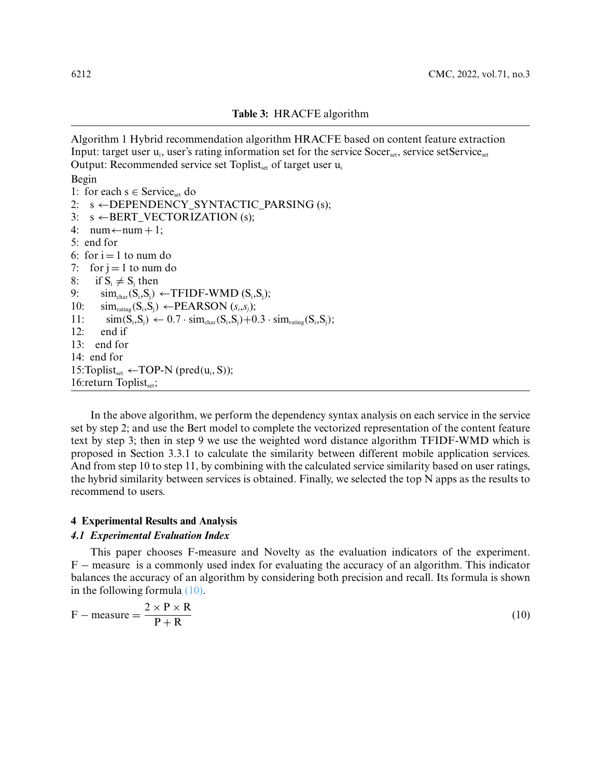<span id="page-11-0"></span>Algorithm 1 Hybrid recommendation algorithm HRACFE based on content feature extraction Input: target user  $u_i$ , user's rating information set for the service  $Socer_{set}$ , service setService<sub>set</sub> Output: Recommended service set Toplist<sub>set</sub> of target user  $u_i$ Begin 1: for each  $s \in$  Service<sub>set</sub> do 2:  $s \leftarrow$ DEPENDENCY\_SYNTACTIC\_PARSING (s); 3:  $s \leftarrow BERT_VECTORIZATION(s);$ 4:  $num \leftarrow num + 1$ ; 5: end for 6: for  $i = 1$  to num do 7: for  $i = 1$  to num do 8: if  $S_i \neq S_j$  then 9:  $\sin_{\text{char}}(S_i, S_j) \leftarrow \text{TFIDF-WMD}(S_i, S_j);$ 10:  $\text{sim}_{\text{rating}}(S_i, S_j)$  ← PEARSON  $(s_i, s_j)$ ; 11:  $\sin(S_i, S_j) \leftarrow 0.7 \cdot \sin_{char}(S_i, S_j) + 0.3 \cdot \sin_{rating}(S_i, S_j);$ <br>12: end if end if 13: end for 14: end for 15:Toplist<sub>set</sub> ←TOP-N (pred $(u_i, S)$ ); 16:return Toplistset;

In the above algorithm, we perform the dependency syntax analysis on each service in the service set by step 2; and use the Bert model to complete the vectorized representation of the content feature text by step 3; then in step 9 we use the weighted word distance algorithm TFIDF-WMD which is proposed in Section 3.3.1 to calculate the similarity between different mobile application services. And from step 10 to step 11, by combining with the calculated service similarity based on user ratings, the hybrid similarity between services is obtained. Finally, we selected the top N apps as the results to recommend to users.

## **4 Experimental Results and Analysis**

# *4.1 Experimental Evaluation Index*

This paper chooses F-measure and Novelty as the evaluation indicators of the experiment. F – measure is a commonly used index for evaluating the accuracy of an algorithm. This indicator balances the accuracy of an algorithm by considering both precision and recall. Its formula is shown in the following formula [\(10\).](#page-11-1)

<span id="page-11-1"></span>
$$
F - measure = \frac{2 \times P \times R}{P + R}
$$
 (10)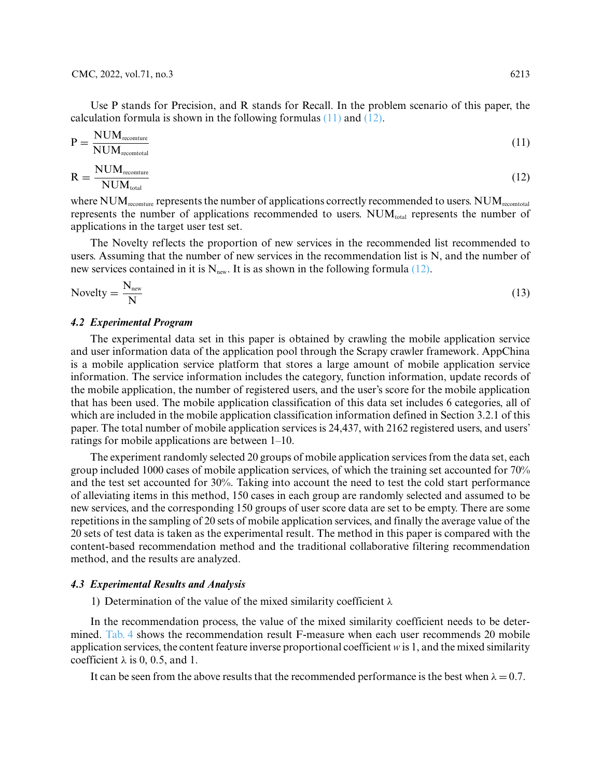CMC, 2022, vol.71, no.3 6213

Use P stands for Precision, and R stands for Recall. In the problem scenario of this paper, the calculation formula is shown in the following formulas [\(11\)](#page-12-0) and [\(12\).](#page-12-1)

<span id="page-12-0"></span>
$$
P = \frac{NUM_{recounture}}{NUM_{recontrol}} \tag{11}
$$

<span id="page-12-1"></span>
$$
R = \frac{NUM_{recommure}}{NUM_{total}}
$$
 (12)

where  $NUM_{recommure}$  represents the number of applications correctly recommended to users.  $NUM_{recontrol}$ represents the number of applications recommended to users.  $NUM_{total}$  represents the number of applications in the target user test set.

The Novelty reflects the proportion of new services in the recommended list recommended to users. Assuming that the number of new services in the recommendation list is N, and the number of new services contained in it is  $N_{\text{new}}$ . It is as shown in the following formula [\(12\).](#page-12-1)

$$
Nowelly = \frac{N_{new}}{N}
$$
 (13)

## *4.2 Experimental Program*

The experimental data set in this paper is obtained by crawling the mobile application service and user information data of the application pool through the Scrapy crawler framework. AppChina is a mobile application service platform that stores a large amount of mobile application service information. The service information includes the category, function information, update records of the mobile application, the number of registered users, and the user's score for the mobile application that has been used. The mobile application classification of this data set includes 6 categories, all of which are included in the mobile application classification information defined in Section 3.2.1 of this paper. The total number of mobile application services is 24,437, with 2162 registered users, and users' ratings for mobile applications are between 1–10.

The experiment randomly selected 20 groups of mobile application services from the data set, each group included 1000 cases of mobile application services, of which the training set accounted for 70% and the test set accounted for 30%. Taking into account the need to test the cold start performance of alleviating items in this method, 150 cases in each group are randomly selected and assumed to be new services, and the corresponding 150 groups of user score data are set to be empty. There are some repetitions in the sampling of 20 sets of mobile application services, and finally the average value of the 20 sets of test data is taken as the experimental result. The method in this paper is compared with the content-based recommendation method and the traditional collaborative filtering recommendation method, and the results are analyzed.

#### *4.3 Experimental Results and Analysis*

1) Determination of the value of the mixed similarity coefficient *λ*

In the recommendation process, the value of the mixed similarity coefficient needs to be determined. [Tab. 4](#page-13-0) shows the recommendation result F-measure when each user recommends 20 mobile application services, the content feature inverse proportional coefficient *w* is 1, and the mixed similarity coefficient  $\lambda$  is 0, 0.5, and 1.

It can be seen from the above results that the recommended performance is the best when  $\lambda = 0.7$ .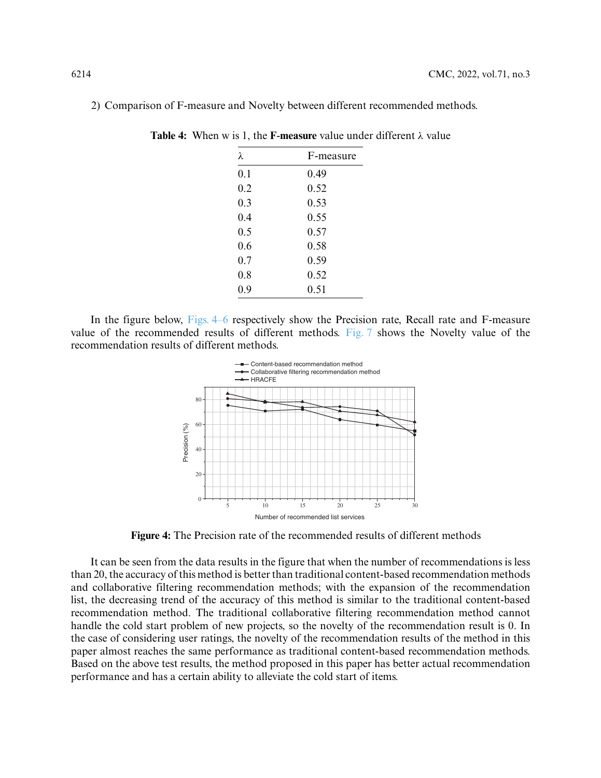| λ   | F-measure |
|-----|-----------|
| 0.1 | 0.49      |
| 0.2 | 0.52      |
| 0.3 | 0.53      |
| 0.4 | 0.55      |
| 0.5 | 0.57      |
| 0.6 | 0.58      |
| 0.7 | 0.59      |
| 0.8 | 0.52      |
| 0.9 | 0.51      |

<span id="page-13-0"></span>2) Comparison of F-measure and Novelty between different recommended methods.

**Table 4:** When w is 1, the **F**-**measure** value under different *λ* value

In the figure below, Figs. 4–6 respectively show the Precision rate, Recall rate and F-measure value of the recommended results of different methods. [Fig. 7](#page-14-0) shows the Novelty value of the recommendation results of different methods.



**Figure 4:** The Precision rate of the recommended results of different methods

It can be seen from the data results in the figure that when the number of recommendations is less than 20, the accuracy of this method is better than traditional content-based recommendation methods and collaborative filtering recommendation methods; with the expansion of the recommendation list, the decreasing trend of the accuracy of this method is similar to the traditional content-based recommendation method. The traditional collaborative filtering recommendation method cannot handle the cold start problem of new projects, so the novelty of the recommendation result is 0. In the case of considering user ratings, the novelty of the recommendation results of the method in this paper almost reaches the same performance as traditional content-based recommendation methods. Based on the above test results, the method proposed in this paper has better actual recommendation performance and has a certain ability to alleviate the cold start of items.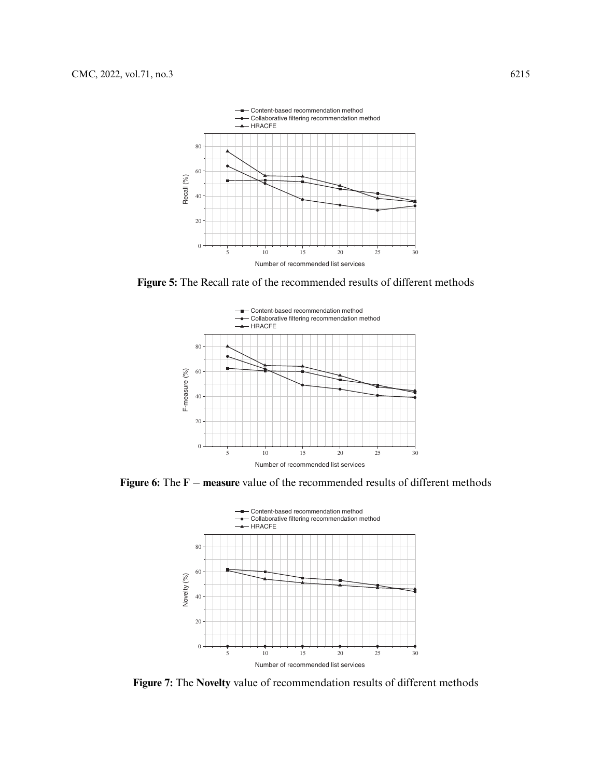

**Figure 5:** The Recall rate of the recommended results of different methods



**Figure 6:** The **F** − **measure** value of the recommended results of different methods



<span id="page-14-0"></span>**Figure 7:** The **Novelty** value of recommendation results of different methods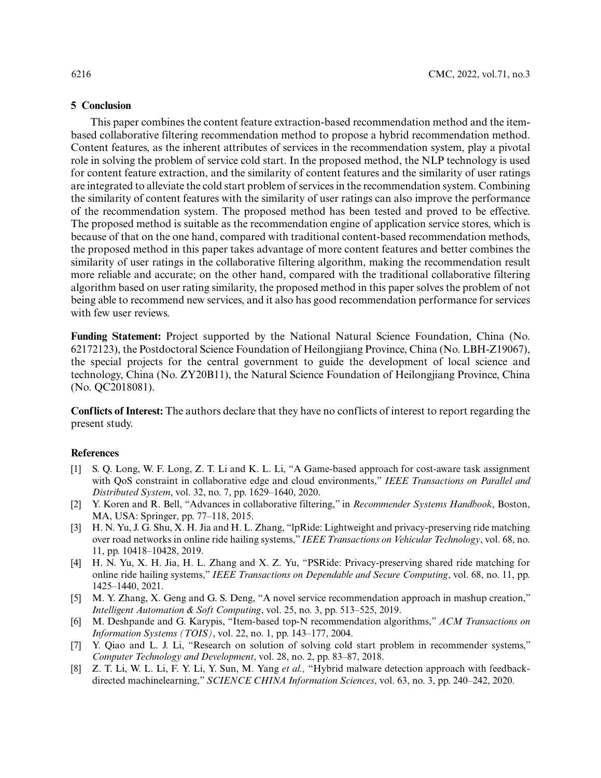#### **5 Conclusion**

This paper combines the content feature extraction-based recommendation method and the itembased collaborative filtering recommendation method to propose a hybrid recommendation method. Content features, as the inherent attributes of services in the recommendation system, play a pivotal role in solving the problem of service cold start. In the proposed method, the NLP technology is used for content feature extraction, and the similarity of content features and the similarity of user ratings are integrated to alleviate the cold start problem of services in the recommendation system. Combining the similarity of content features with the similarity of user ratings can also improve the performance of the recommendation system. The proposed method has been tested and proved to be effective. The proposed method is suitable as the recommendation engine of application service stores, which is because of that on the one hand, compared with traditional content-based recommendation methods, the proposed method in this paper takes advantage of more content features and better combines the similarity of user ratings in the collaborative filtering algorithm, making the recommendation result more reliable and accurate; on the other hand, compared with the traditional collaborative filtering algorithm based on user rating similarity, the proposed method in this paper solves the problem of not being able to recommend new services, and it also has good recommendation performance for services with few user reviews.

**Funding Statement:** Project supported by the National Natural Science Foundation, China (No. 62172123), the Postdoctoral Science Foundation of Heilongjiang Province, China (No. LBH-Z19067), the special projects for the central government to guide the development of local science and technology, China (No. ZY20B11), the Natural Science Foundation of Heilongjiang Province, China (No. QC2018081).

**Conflicts of Interest:** The authors declare that they have no conflicts of interest to report regarding the present study.

## **References**

- <span id="page-15-0"></span>[1] S. Q. Long, W. F. Long, Z. T. Li and K. L. Li, "A Game-based approach for cost-aware task assignment with QoS constraint in collaborative edge and cloud environments," *IEEE Transactions on Parallel and Distributed System*, vol. 32, no. 7, pp. 1629–1640, 2020.
- <span id="page-15-1"></span>[2] Y. Koren and R. Bell, "Advances in collaborative filtering," in *Recommender Systems Handbook*, Boston, MA, USA: Springer, pp. 77–118, 2015.
- [3] H. N. Yu, J. G. Shu, X. H. Jia and H. L. Zhang, "lpRide: Lightweight and privacy-preserving ride matching over road networks in online ride hailing systems," *IEEE Transactions on Vehicular Technology*, vol. 68, no. 11, pp. 10418–10428, 2019.
- <span id="page-15-2"></span>[4] H. N. Yu, X. H. Jia, H. L. Zhang and X. Z. Yu, "PSRide: Privacy-preserving shared ride matching for online ride hailing systems," *IEEE Transactions on Dependable and Secure Computing*, vol. 68, no. 11, pp. 1425–1440, 2021.
- <span id="page-15-3"></span>[5] M. Y. Zhang, X. Geng and G. S. Deng, "A novel service recommendation approach in mashup creation," *Intelligent Automation & Soft Computing*, vol. 25, no. 3, pp. 513–525, 2019.
- <span id="page-15-4"></span>[6] M. Deshpande and G. Karypis, "Item-based top-N recommendation algorithms," *ACM Transactions on Information Systems (TOIS)*, vol. 22, no. 1, pp. 143–177, 2004.
- <span id="page-15-5"></span>[7] Y. Qiao and L. J. Li, "Research on solution of solving cold start problem in recommender systems," *Computer Technology and Development*, vol. 28, no. 2, pp. 83–87, 2018.
- <span id="page-15-6"></span>[8] Z. T. Li, W. L. Li, F. Y. Li, Y. Sun, M. Yang *et al.,* "Hybrid malware detection approach with feedbackdirected machinelearning," *SCIENCE CHINA Information Sciences*, vol. 63, no. 3, pp. 240–242, 2020.